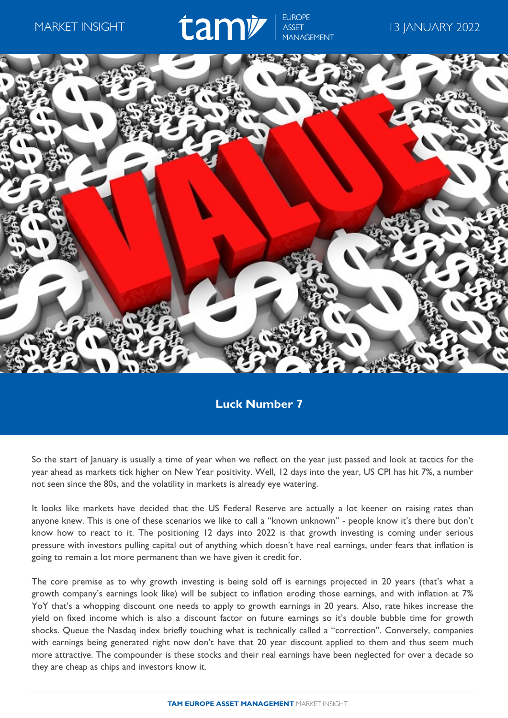



## **Luck Number 7**

So the start of January is usually a time of year when we reflect on the year just passed and look at tactics for the year ahead as markets tick higher on New Year positivity. Well, 12 days into the year, US CPI has hit 7%, a number not seen since the 80s, and the volatility in markets is already eye watering.

It looks like markets have decided that the US Federal Reserve are actually a lot keener on raising rates than anyone knew. This is one of these scenarios we like to call a "known unknown" - people know it's there but don't know how to react to it. The positioning 12 days into 2022 is that growth investing is coming under serious pressure with investors pulling capital out of anything which doesn't have real earnings, under fears that inflation is going to remain a lot more permanent than we have given it credit for.

The core premise as to why growth investing is being sold off is earnings projected in 20 years (that's what a growth company's earnings look like) will be subject to inflation eroding those earnings, and with inflation at 7% YoY that's a whopping discount one needs to apply to growth earnings in 20 years. Also, rate hikes increase the yield on fixed income which is also a discount factor on future earnings so it's double bubble time for growth shocks. Queue the Nasdaq index briefly touching what is technically called a "correction". Conversely, companies with earnings being generated right now don't have that 20 year discount applied to them and thus seem much more attractive. The compounder is these stocks and their real earnings have been neglected for over a decade so they are cheap as chips and investors know it.